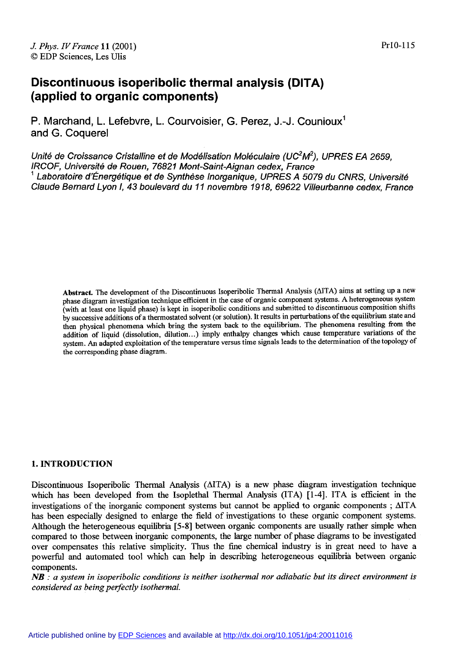# **Discontinuous isoperibolic thermal analysis (DITA) (applied to organic components)**

P. Marchand, L. Lefebvre, L. Courvoisier, G. Perez, J.-J. Counioux<sup>1</sup> and G. Coquerel

Unité de Croissance Cristalline et de Modélisation Moléculaire (UC<sup>2</sup>M<sup>2</sup>), UPRES EA 2659,<br>IRCOF, Université de Rouen, 76821 Mont-Saint-Aignan cedex, France  $^1$  Laboratoire d'Énergétique et de Synthèse Inorganique, UPRES A 5079 du CNRS, Université Claude Bernard Lyon 1,43 boulevard du I1 novembre 1918,69622 Villeurbanne cedex, France

Abstract. The development of the Discontinuous lsoperibolic Thermal Analysis (AITA) aims at setting up a new phase diagram investigation technique efficient in the case of organic component systems. A heterogeneous system (with at least one liquid phase) is kept in isoperibolic conditions and submitted to discontinuous composition shifts by successive additions of a thermostated solvent (or solution). It results in perturbations of the equilibrium state and then physical phenomena which bring the system back to the equilibrium. The phenomena resulting from the addition of liquid (dissolution, dilution.. .) imply enthalpy changes which cause temperature variations of the system. An adapted exploitation of the temperature versus time signals leads to the determination of the topology of the corresponding phase diagram.

# **1. INTRODUCTION**

Discontinuous Isoperibolic Thermal Analysis (AITA) is a new phase diagram investigation technique which has been developed from the Isoplethal Thermal Analysis (ITA) [1-4]. ITA is efficient in the investigations of the inorganic component systems but cannot be applied to organic components ; AITA has been especially designed to enlarge the field of investigations to these organic component systems. Although the heterogeneous equilibria **[5-81** between organic components are usually rather simple when compared to those between inorganic components, the large number of phase diagrams to be investigated over compensates this relative simplicity. Thus the fine chemical industry is in great need to have a powerful and automated tool which can help in describing heterogeneous equilibria between organic components.

NB : *a system in isoperibolic conditions is neither isothermal nor adiabatic but its direct environment is considered as being perfectly isothermal.*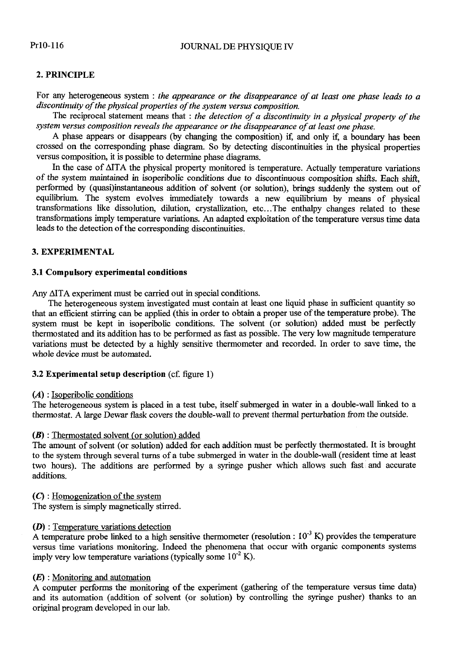# Pr10-116

### JOURNAL DE PHYSIQUE IV

# **2.** PRINCIPLE

For any heterogeneous system : *the appearance or the disappearance of at least one phase leads to a discontinuity of the physical properties of the system versus composition.* 

The reciprocal statement means that : *the detection of a discontinuity in a physical property of the system versus composition reveals the appearance or the disappearance of at least one phase.* 

A phase appears or disappears (by changing the composition) if, and only if, a boundary has been crossed on the corresponding phase diagram. So by detecting discontinuities in the physical properties versus composition, it is possible to determine phase diagrams.

In the case of  $\triangle$ ITA the physical property monitored is temperature. Actually temperature variations of the system maintained in isoperibolic conditions due to discontinuous composition shifts. Each shift, performed by (quasi)instantaneous addition of solvent (or solution), brings suddenly the system out of equilibrium. The system evolves immediately towards a new equilibrium by means of physical transformations like dissolution, dilution, crystallization, etc ... The enthalpy changes related to these transformations imply temperature variations. An adapted exploitation of the temperature versus time data leads to the detection of the corresponding discontinuities.

# **3.** EXPERIMENTAL

# 3.1 Compulsory experimental conditions

Any  $\Delta$ ITA experiment must be carried out in special conditions.

The heterogeneous system investigated must contain at least one liquid phase in sufficient quantity so that an efficient stirring can be applied (this in order to obtain a proper use of the temperature probe). The system must be kept in isoperibolic conditions. The solvent (or solution) added must be perfectly thermostated and its addition has to be performed as fast as possible. The very low magnitude temperature variations must be detected by a highly sensitive thermometer and recorded. In order to save time, the whole device must be automated.

# **3.2** Experimental setup description (cf. figure 1)

# $(A)$ : Isoperibolic conditions

The heterogeneous system is placed in a test tube, itself submerged in water in a double-wall linked to a thermostat. A large Dewar flask covers the double-wall to prevent thermal perturbation from the outside.

### (B) : Thermostated solvent (or solution) added

The amount of solvent (or solution) added for each addition must be perfectly thermostated. It is brought to the system through several turns of a tube submerged in water in the double-wall (resident time at least two hours). The additions are performed by a syringe pusher which allows such fast and accurate additions.

(C) : Homogenization of the system

The system is simply magnetically stirred.

# $(D)$ : Temperature variations detection

A temperature probe linked to a high sensitive thermometer (resolution :  $10^{-3}$  K) provides the temperature versus time variations monitoring. Indeed the phenomena that occur with organic components systems imply very low temperature variations (typically some  $10^{-2}$  K).

# *(E)* : Monitoring and automation

A computer performs the monitoring of the experiment (gathering of the temperature versus time data) and its automation (addition of solvent (or solution) by controlling the syringe pusher) thanks to an original program developed in our lab.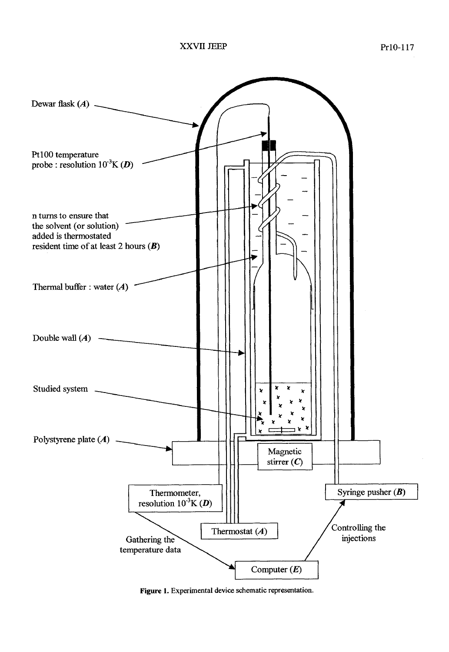

**Figure 1. Experimental device schematic representation.**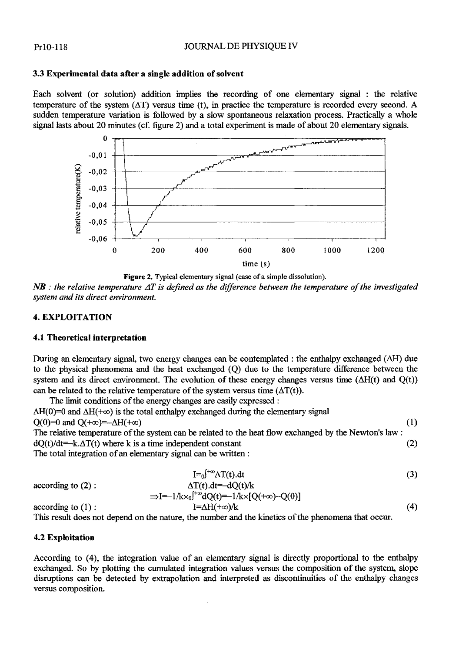# **3.3 Experimental data after a single addition of solvent**

Each solvent (or solution) addition implies the recording of one elementary signal : the relative temperature of the system  $(AT)$  versus time (t), in practice the temperature is recorded every second. A sudden temperature variation is followed by a slow spontaneous relaxation process. Practically a whole signal lasts about 20 minutes (cf. figure 2) and a total experiment is made of about 20 elementary signals.



**Figure 2. Typical elementary signal (case of a simple dissolution).** 

 $N$ **B** : the relative temperature  $\Delta T$  is defined as the difference between the temperature of the investigated *system and its direct environment.* 

# **4. EXPLOITATION**

# **4.1 Theoretical interpretation**

During an elementary signal, two energy changes can be contemplated : the enthalpy exchanged  $(\Delta H)$  due to the physical phenomena and the heat exchanged (Q) due to the temperature difference between the system and its direct environment. The evolution of these energy changes versus time  $(\Delta H(t))$  and  $Q(t)$ ) can be related to the relative temperature of the system versus time  $(\Delta T(t))$ .

The limit conditions of the energy changes are easily expressed :  $\Delta H(0)=0$  and  $\Delta H(+\infty)$  is the total enthalpy exchanged during the elementary signal  $Q(0)=0$  and  $Q(+\infty)=-\Delta H(+\infty)$  (1) The relative temperature of the system can be related to the heat flow exchanged by the Newton's law :  $dQ(t)/dt = k \Delta T(t)$  where k is a time independent constant (2)

The total integration of an elementary signal can be written :

$$
I = 0 \int^{+\infty} \Delta T(t) \, dt \tag{3}
$$

according to (2):  
\n
$$
\Delta T(t).dt = -dQ(t)/k
$$
\n
$$
\Rightarrow I = -1/k \times {}_0f^{+\infty}dQ(t) = -1/k \times [Q(+\infty)-Q(0)]
$$
\naccording to (1):  
\n
$$
I = \Delta H(+\infty)/k
$$
\n(4)

This result does not depend on the nature, the number and the kinetics of the phenomena that occur.

# **4.2 Exploitation**

According to (4), the integration value of an elementary signal is directly proportional to the enthalpy exchanged. So by plotting the cumulated integration values versus the composition of the system, slope disruptions can be detected by extrapolation and interpreted as discontinuities of the enthalpy changes versus composition.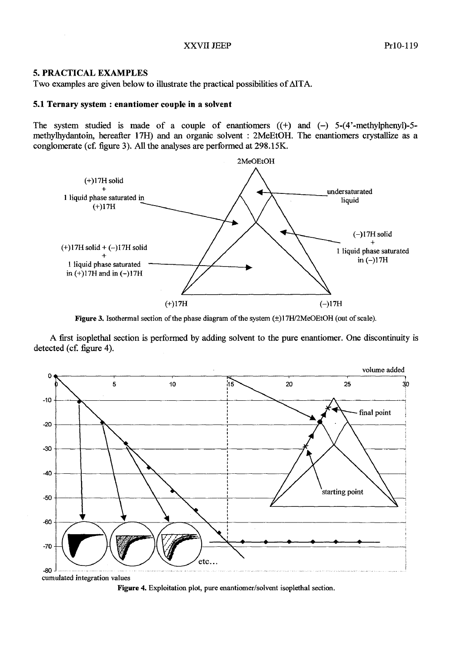# **5. PRACTICAL EXAMPLES**

Two examples are given below to illustrate the practical possibilities of AITA.

### **5.1 Ternary system** : **enantiomer couple in a solvent**

The system studied is made of a couple of enantiomers  $((+)$  and  $(-)$  5-(4'-methylphenyl)-5methylhydantoin, hereafter **17H)** and an organic solvent : 2MeEtOH. The enantiomers crystallize as a conglomerate (cf. figure **3).** *All* the analyses are performed at 298.15K.



Figure 3. Isothermal section of the phase diagram of the system  $(\pm)17H/2MeOEtOH$  (out of scale).

A fist isoplethal section is performed by adding solvent to the pure enantiomer. One discontinuity is detected (cf. figure 4).



Figure 4. Exploitation plot, pure enantiomer/solvent isoplethal section.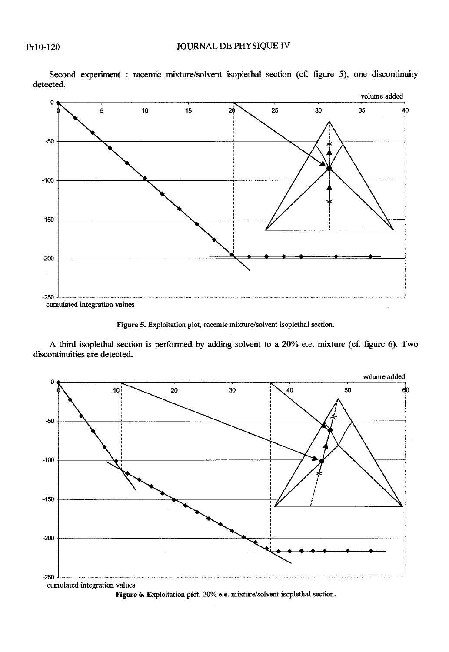

Second experiment : racemic mixture/solvent isoplethal section (cf. figure 5), one discontinuity detected.

**Figure 5. Exploitation plot, racemic mixture/solvent isoplethal section.** 

**A third isoplethal section is performed by adding solvent to a 20% e.e. mixture (cf. figure 6). Two discontinuities are detected.** 



**Figure 6. Exploitation plot, 20% e.e. mixture/solvent isoplethal section.**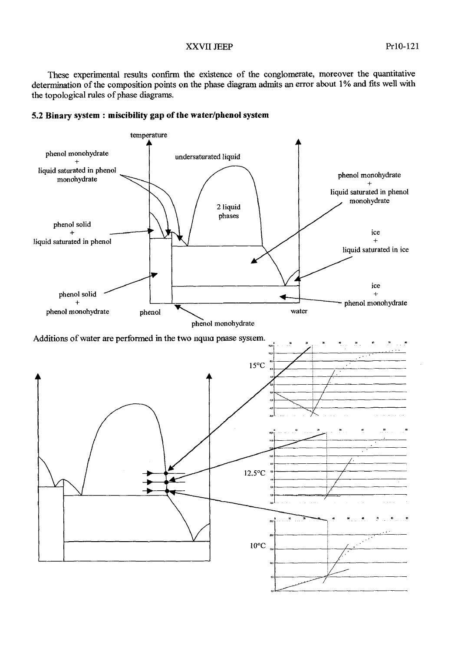# XXVII JEEP Pr10-121

These experimental results confirm the existence of the conglomerate, moreover the quantitative determination of the composition points on the phase diagram admits an error about 1% and fits well with the topological rules of phase diagrams.



# **5.2 Binary system** : **miscibility gap of the waterlphenol system**